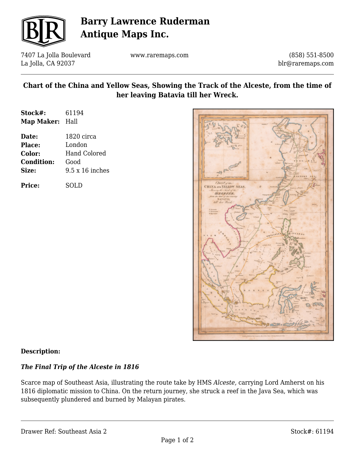

# **Barry Lawrence Ruderman Antique Maps Inc.**

7407 La Jolla Boulevard La Jolla, CA 92037

www.raremaps.com

(858) 551-8500 blr@raremaps.com

### **Chart of the China and Yellow Seas, Showing the Track of the Alceste, from the time of her leaving Batavia till her Wreck.**

| Stock#:    | 61194 |
|------------|-------|
| Map Maker: | Hall  |

**Date:** 1820 circa **Place:** London **Color:** Hand Colored **Condition:** Good **Size:** 9.5 x 16 inches

**Price:** SOLD



### **Description:**

### *The Final Trip of the Alceste in 1816*

Scarce map of Southeast Asia, illustrating the route take by HMS *Alceste,* carrying Lord Amherst on his 1816 diplomatic mission to China. On the return journey, she struck a reef in the Java Sea, which was subsequently plundered and burned by Malayan pirates.